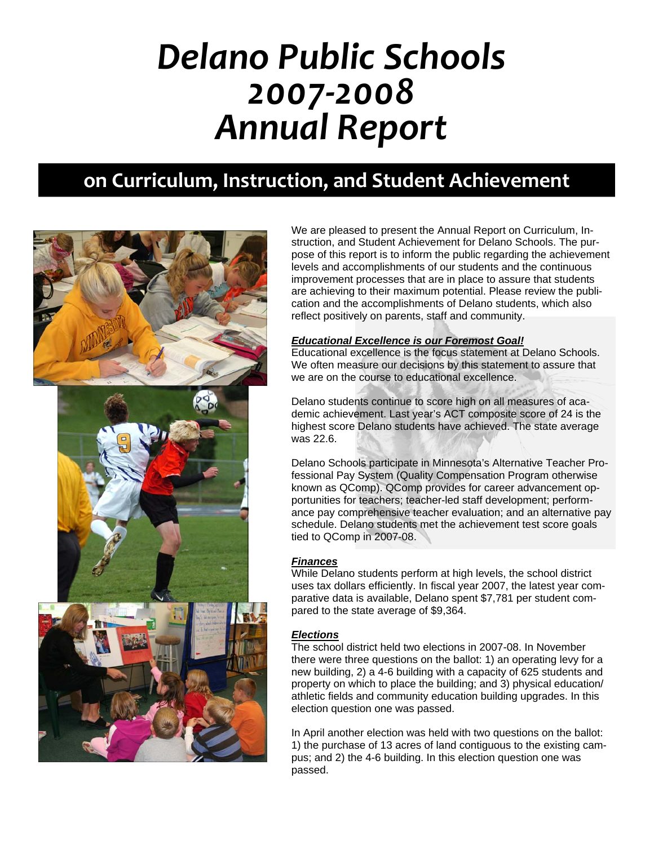# *Delano Public Schools 2007‐2008 Annual Report*

# **on Curriculum, Instruction, and Student Achievement**



We are pleased to present the Annual Report on Curriculum, Instruction, and Student Achievement for Delano Schools. The purpose of this report is to inform the public regarding the achievement levels and accomplishments of our students and the continuous improvement processes that are in place to assure that students are achieving to their maximum potential. Please review the publication and the accomplishments of Delano students, which also reflect positively on parents, staff and community.

#### *Educational Excellence is our Foremost Goal!*

Educational excellence is the focus statement at Delano Schools. We often measure our decisions by this statement to assure that we are on the course to educational excellence.

Delano students continue to score high on all measures of academic achievement. Last year's ACT composite score of 24 is the highest score Delano students have achieved. The state average was 22.6.

Delano Schools participate in Minnesota's Alternative Teacher Professional Pay System (Quality Compensation Program otherwise known as QComp). QComp provides for career advancement opportunities for teachers; teacher-led staff development; performance pay comprehensive teacher evaluation; and an alternative pay schedule. Delano students met the achievement test score goals tied to QComp in 2007-08.

#### *Finances*

While Delano students perform at high levels, the school district uses tax dollars efficiently. In fiscal year 2007, the latest year comparative data is available, Delano spent \$7,781 per student compared to the state average of \$9,364.

#### *Elections*

The school district held two elections in 2007-08. In November there were three questions on the ballot: 1) an operating levy for a new building, 2) a 4-6 building with a capacity of 625 students and property on which to place the building; and 3) physical education/ athletic fields and community education building upgrades. In this election question one was passed.

In April another election was held with two questions on the ballot: 1) the purchase of 13 acres of land contiguous to the existing campus; and 2) the 4-6 building. In this election question one was passed.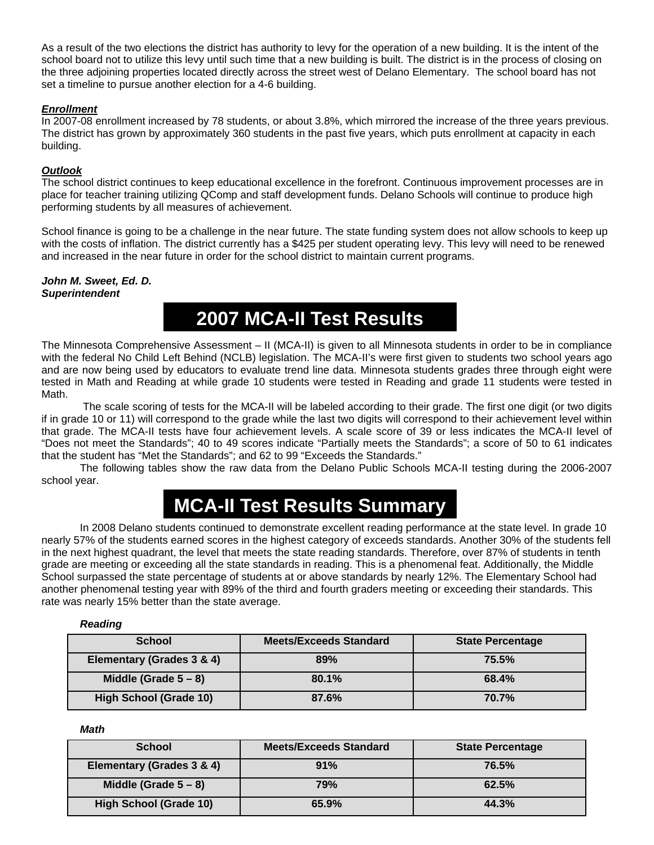As a result of the two elections the district has authority to levy for the operation of a new building. It is the intent of the school board not to utilize this levy until such time that a new building is built. The district is in the process of closing on the three adjoining properties located directly across the street west of Delano Elementary. The school board has not set a timeline to pursue another election for a 4-6 building.

#### *Enrollment*

In 2007-08 enrollment increased by 78 students, or about 3.8%, which mirrored the increase of the three years previous. The district has grown by approximately 360 students in the past five years, which puts enrollment at capacity in each building.

#### *Outlook*

The school district continues to keep educational excellence in the forefront. Continuous improvement processes are in place for teacher training utilizing QComp and staff development funds. Delano Schools will continue to produce high performing students by all measures of achievement.

School finance is going to be a challenge in the near future. The state funding system does not allow schools to keep up with the costs of inflation. The district currently has a \$425 per student operating levy. This levy will need to be renewed and increased in the near future in order for the school district to maintain current programs.

*John M. Sweet, Ed. D. Superintendent* 

### **2007 MCA-II Test Results**

The Minnesota Comprehensive Assessment – II (MCA-II) is given to all Minnesota students in order to be in compliance with the federal No Child Left Behind (NCLB) legislation. The MCA-II's were first given to students two school years ago and are now being used by educators to evaluate trend line data. Minnesota students grades three through eight were tested in Math and Reading at while grade 10 students were tested in Reading and grade 11 students were tested in Math.

 The scale scoring of tests for the MCA-II will be labeled according to their grade. The first one digit (or two digits if in grade 10 or 11) will correspond to the grade while the last two digits will correspond to their achievement level within that grade. The MCA-II tests have four achievement levels. A scale score of 39 or less indicates the MCA-II level of "Does not meet the Standards"; 40 to 49 scores indicate "Partially meets the Standards"; a score of 50 to 61 indicates that the student has "Met the Standards"; and 62 to 99 "Exceeds the Standards."

 The following tables show the raw data from the Delano Public Schools MCA-II testing during the 2006-2007 school year.

# **MCA-II Test Results Summary**

In 2008 Delano students continued to demonstrate excellent reading performance at the state level. In grade 10 nearly 57% of the students earned scores in the highest category of exceeds standards. Another 30% of the students fell in the next highest quadrant, the level that meets the state reading standards. Therefore, over 87% of students in tenth grade are meeting or exceeding all the state standards in reading. This is a phenomenal feat. Additionally, the Middle School surpassed the state percentage of students at or above standards by nearly 12%. The Elementary School had another phenomenal testing year with 89% of the third and fourth graders meeting or exceeding their standards. This rate was nearly 15% better than the state average.

#### *Reading*

| <b>School</b>                 | <b>Meets/Exceeds Standard</b> | <b>State Percentage</b> |
|-------------------------------|-------------------------------|-------------------------|
| Elementary (Grades 3 & 4)     | 89%                           | 75.5%                   |
| Middle (Grade $5-8$ )         | 80.1%                         | 68.4%                   |
| <b>High School (Grade 10)</b> | 87.6%                         | 70.7%                   |

*Math* 

| <b>School</b>                 | <b>Meets/Exceeds Standard</b> | <b>State Percentage</b> |
|-------------------------------|-------------------------------|-------------------------|
| Elementary (Grades 3 & 4)     | 91%                           | 76.5%                   |
| Middle (Grade $5-8$ )         | 79%                           | 62.5%                   |
| <b>High School (Grade 10)</b> | 65.9%                         | 44.3%                   |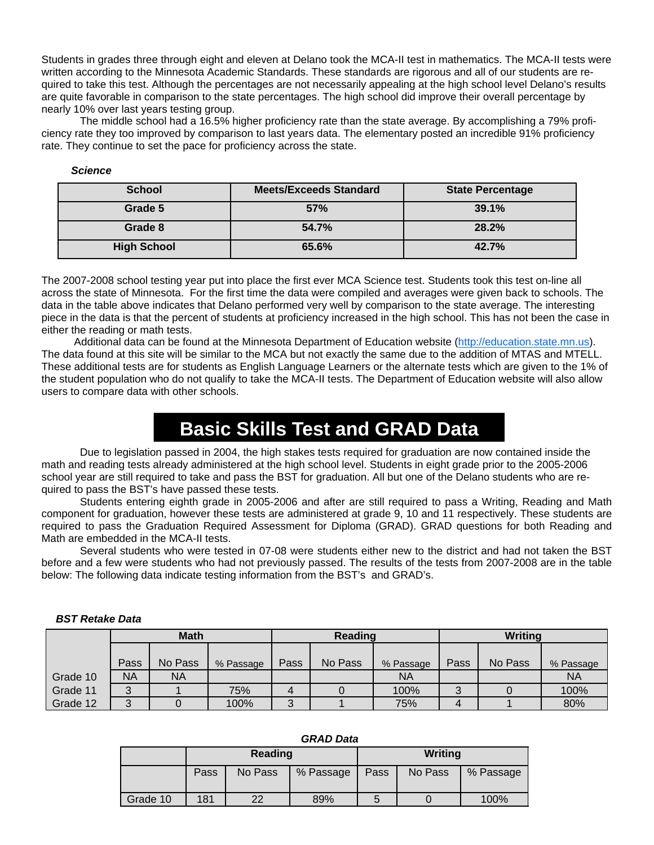Students in grades three through eight and eleven at Delano took the MCA-II test in mathematics. The MCA-II tests were written according to the Minnesota Academic Standards. These standards are rigorous and all of our students are required to take this test. Although the percentages are not necessarily appealing at the high school level Delano's results are quite favorable in comparison to the state percentages. The high school did improve their overall percentage by nearly 10% over last years testing group.

The middle school had a 16.5% higher proficiency rate than the state average. By accomplishing a 79% proficiency rate they too improved by comparison to last years data. The elementary posted an incredible 91% proficiency rate. They continue to set the pace for proficiency across the state.

#### *Science*

| <b>School</b>      | <b>Meets/Exceeds Standard</b> | <b>State Percentage</b> |
|--------------------|-------------------------------|-------------------------|
| Grade 5            | 57%                           | 39.1%                   |
| Grade 8            | 54.7%                         | 28.2%                   |
| <b>High School</b> | 65.6%                         | 42.7%                   |

The 2007-2008 school testing year put into place the first ever MCA Science test. Students took this test on-line all across the state of Minnesota. For the first time the data were compiled and averages were given back to schools. The data in the table above indicates that Delano performed very well by comparison to the state average. The interesting piece in the data is that the percent of students at proficiency increased in the high school. This has not been the case in either the reading or math tests.

Additional data can be found at the Minnesota Department of Education website (http://education.state.mn.us). The data found at this site will be similar to the MCA but not exactly the same due to the addition of MTAS and MTELL. These additional tests are for students as English Language Learners or the alternate tests which are given to the 1% of the student population who do not qualify to take the MCA-II tests. The Department of Education website will also allow users to compare data with other schools.

### **Basic Skills Test and GRAD Data**

 Due to legislation passed in 2004, the high stakes tests required for graduation are now contained inside the math and reading tests already administered at the high school level. Students in eight grade prior to the 2005-2006 school year are still required to take and pass the BST for graduation. All but one of the Delano students who are required to pass the BST's have passed these tests.

Students entering eighth grade in 2005-2006 and after are still required to pass a Writing, Reading and Math component for graduation, however these tests are administered at grade 9, 10 and 11 respectively. These students are required to pass the Graduation Required Assessment for Diploma (GRAD). GRAD questions for both Reading and Math are embedded in the MCA-II tests.

Several students who were tested in 07-08 were students either new to the district and had not taken the BST before and a few were students who had not previously passed. The results of the tests from 2007-2008 are in the table below: The following data indicate testing information from the BST's and GRAD's.

|          | <b>Math</b> |           |           | Reading |         |           | Writing |         |           |
|----------|-------------|-----------|-----------|---------|---------|-----------|---------|---------|-----------|
|          |             |           |           |         |         |           |         |         |           |
|          | Pass        | No Pass   | % Passage | Pass    | No Pass | % Passage | Pass    | No Pass | % Passage |
| Grade 10 | ΝA          | <b>NA</b> |           |         |         | <b>NA</b> |         |         | <b>NA</b> |
| Grade 11 |             |           | 75%       |         |         | 100%      |         |         | 100%      |
| Grade 12 |             |           | 100%      | ર<br>J  |         | 75%       | 4       |         | 80%       |

#### *BST Retake Data*

| --------- |                 |         |           |      |         |           |  |  |
|-----------|-----------------|---------|-----------|------|---------|-----------|--|--|
|           |                 | Reading |           |      | Writing |           |  |  |
|           | No Pass<br>Pass |         | % Passage | Pass | No Pass | % Passage |  |  |
| Grade 10  | 181             | າາ      | 89%       | h    |         | 100%      |  |  |

#### *GRAD Data*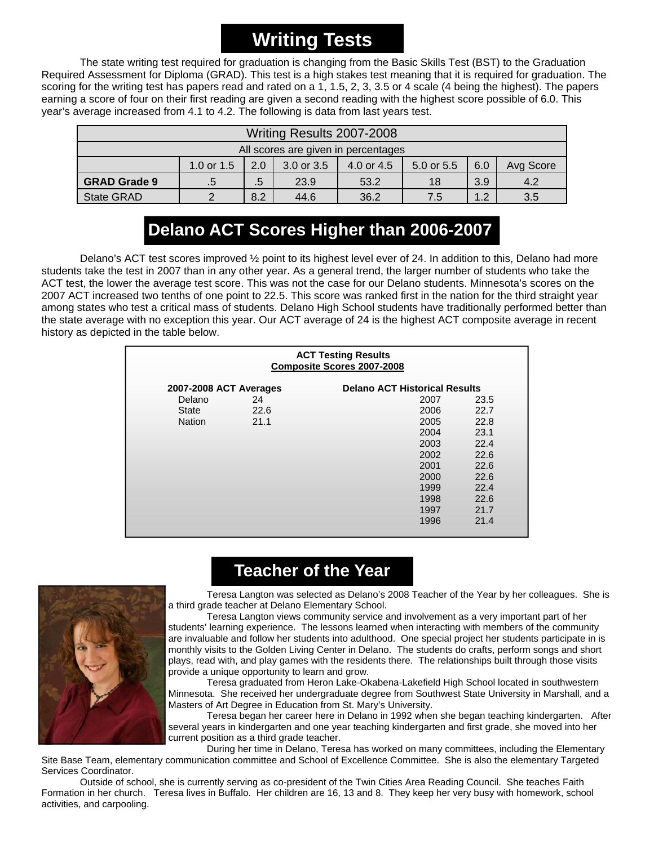# **Writing Tests**

The state writing test required for graduation is changing from the Basic Skills Test (BST) to the Graduation Required Assessment for Diploma (GRAD). This test is a high stakes test meaning that it is required for graduation. The scoring for the writing test has papers read and rated on a 1, 1.5, 2, 3, 3.5 or 4 scale (4 being the highest). The papers earning a score of four on their first reading are given a second reading with the highest score possible of 6.0. This year's average increased from 4.1 to 4.2. The following is data from last years test.

| Writing Results 2007-2008           |              |              |            |            |            |     |           |
|-------------------------------------|--------------|--------------|------------|------------|------------|-----|-----------|
| All scores are given in percentages |              |              |            |            |            |     |           |
|                                     | 1.0 or $1.5$ | 2.0          | 3.0 or 3.5 | 4.0 or 4.5 | 5.0 or 5.5 | 6.0 | Avg Score |
| <b>GRAD Grade 9</b>                 | .5           | $.5^{\circ}$ | 23.9       | 53.2       | 18         | 3.9 | 4.2       |
| <b>State GRAD</b>                   | າ            | 8.2          | 44.6       | 36.2       | 7.5        | 1.2 | 3.5       |

### **Delano ACT Scores Higher than 2006-2007**

Delano's ACT test scores improved ½ point to its highest level ever of 24. In addition to this, Delano had more students take the test in 2007 than in any other year. As a general trend, the larger number of students who take the ACT test, the lower the average test score. This was not the case for our Delano students. Minnesota's scores on the 2007 ACT increased two tenths of one point to 22.5. This score was ranked first in the nation for the third straight year among states who test a critical mass of students. Delano High School students have traditionally performed better than the state average with no exception this year. Our ACT average of 24 is the highest ACT composite average in recent history as depicted in the table below.

| <b>ACT Testing Results</b><br><b>Composite Scores 2007-2008</b> |      |      |      |  |  |  |  |
|-----------------------------------------------------------------|------|------|------|--|--|--|--|
| <b>Delano ACT Historical Results</b><br>2007-2008 ACT Averages  |      |      |      |  |  |  |  |
| Delano                                                          | 24   | 2007 | 23.5 |  |  |  |  |
| <b>State</b>                                                    | 22.6 | 2006 | 22.7 |  |  |  |  |
| <b>Nation</b>                                                   | 21.1 | 2005 | 22.8 |  |  |  |  |
|                                                                 |      | 2004 | 23.1 |  |  |  |  |
|                                                                 |      | 2003 | 22.4 |  |  |  |  |
|                                                                 |      | 2002 | 22.6 |  |  |  |  |
|                                                                 |      | 2001 | 22.6 |  |  |  |  |
|                                                                 |      | 2000 | 22.6 |  |  |  |  |
|                                                                 |      | 1999 | 22.4 |  |  |  |  |
|                                                                 |      | 1998 | 22.6 |  |  |  |  |
|                                                                 |      | 1997 | 21.7 |  |  |  |  |
|                                                                 |      | 1996 | 21.4 |  |  |  |  |

### **Teacher of the Year**



 Teresa Langton was selected as Delano's 2008 Teacher of the Year by her colleagues. She is a third grade teacher at Delano Elementary School.

 Teresa Langton views community service and involvement as a very important part of her students' learning experience. The lessons learned when interacting with members of the community are invaluable and follow her students into adulthood. One special project her students participate in is monthly visits to the Golden Living Center in Delano. The students do crafts, perform songs and short plays, read with, and play games with the residents there. The relationships built through those visits provide a unique opportunity to learn and grow.

 Teresa graduated from Heron Lake-Okabena-Lakefield High School located in southwestern Minnesota. She received her undergraduate degree from Southwest State University in Marshall, and a Masters of Art Degree in Education from St. Mary's University.

 Teresa began her career here in Delano in 1992 when she began teaching kindergarten. After several years in kindergarten and one year teaching kindergarten and first grade, she moved into her current position as a third grade teacher.

 During her time in Delano, Teresa has worked on many committees, including the Elementary Site Base Team, elementary communication committee and School of Excellence Committee. She is also the elementary Targeted Services Coordinator.

 Outside of school, she is currently serving as co-president of the Twin Cities Area Reading Council. She teaches Faith Formation in her church. Teresa lives in Buffalo. Her children are 16, 13 and 8. They keep her very busy with homework, school activities, and carpooling.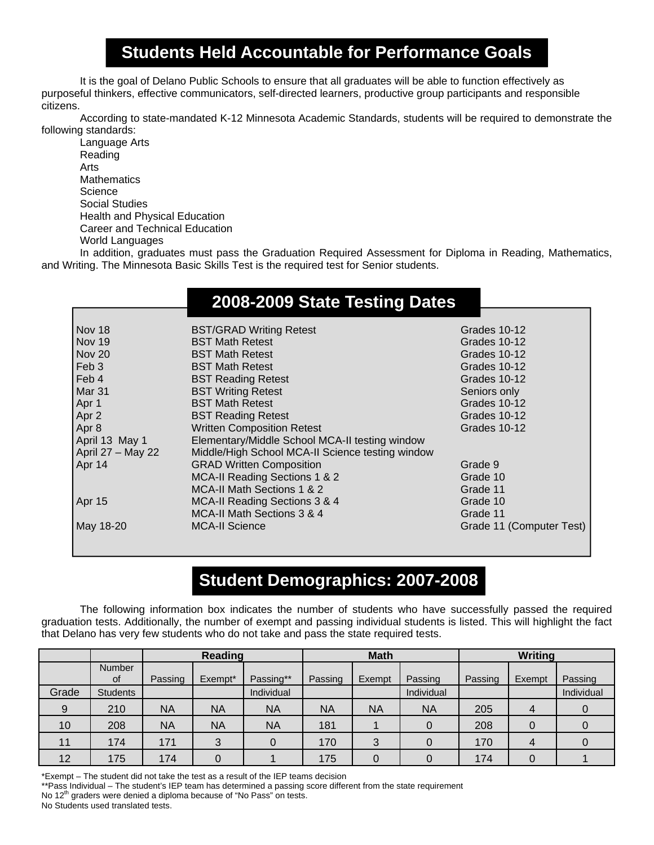#### **Students Held Accountable for Performance Goals**

 It is the goal of Delano Public Schools to ensure that all graduates will be able to function effectively as purposeful thinkers, effective communicators, self-directed learners, productive group participants and responsible citizens.

 According to state-mandated K-12 Minnesota Academic Standards, students will be required to demonstrate the following standards:

 Language Arts Reading Arts **Mathematics Science**  Social Studies Health and Physical Education Career and Technical Education World Languages

 In addition, graduates must pass the Graduation Required Assessment for Diploma in Reading, Mathematics, and Writing. The Minnesota Basic Skills Test is the required test for Senior students.

### **2008-2009 State Testing Dates**

| Nov 18              | <b>BST/GRAD Writing Retest</b>                   | Grades 10-12             |
|---------------------|--------------------------------------------------|--------------------------|
| Nov 19              | <b>BST Math Retest</b>                           | Grades 10-12             |
| Nov 20              | <b>BST Math Retest</b>                           | Grades 10-12             |
| Feb <sub>3</sub>    | <b>BST Math Retest</b>                           | Grades 10-12             |
| Feb 4               | <b>BST Reading Retest</b>                        | Grades 10-12             |
| Mar 31              | <b>BST Writing Retest</b>                        | Seniors only             |
| Apr 1               | <b>BST Math Retest</b>                           | Grades 10-12             |
| Apr 2               | <b>BST Reading Retest</b>                        | Grades 10-12             |
| Apr 8               | <b>Written Composition Retest</b>                | Grades 10-12             |
| April 13 May 1      | Elementary/Middle School MCA-II testing window   |                          |
| April $27 - May 22$ | Middle/High School MCA-II Science testing window |                          |
| Apr 14              | <b>GRAD Written Composition</b>                  | Grade 9                  |
|                     | MCA-II Reading Sections 1 & 2                    | Grade 10                 |
|                     | MCA-II Math Sections 1 & 2                       | Grade 11                 |
| Apr 15              | MCA-II Reading Sections 3 & 4                    | Grade 10                 |
|                     | MCA-II Math Sections 3 & 4                       | Grade 11                 |
| May 18-20           | <b>MCA-II Science</b>                            | Grade 11 (Computer Test) |

### **Student Demographics: 2007-2008**

The following information box indicates the number of students who have successfully passed the required graduation tests. Additionally, the number of exempt and passing individual students is listed. This will highlight the fact that Delano has very few students who do not take and pass the state required tests.

|                 |                 | <b>Reading</b> |           |            | <b>Math</b> |           |            | <b>Writing</b> |        |            |
|-----------------|-----------------|----------------|-----------|------------|-------------|-----------|------------|----------------|--------|------------|
|                 | Number<br>0f    | Passing        | Exempt*   | Passing**  | Passing     | Exempt    | Passing    | Passing        | Exempt | Passing    |
| Grade           | <b>Students</b> |                |           | Individual |             |           | Individual |                |        | Individual |
| 9               | 210             | NA             | <b>NA</b> | <b>NA</b>  | <b>NA</b>   | <b>NA</b> | <b>NA</b>  | 205            | 4      |            |
| 10 <sup>°</sup> | 208             | ΝA             | <b>NA</b> | <b>NA</b>  | 181         |           |            | 208            |        |            |
| 11              | 174             | 171            | 3         |            | 170         | 3         |            | 170            | 4      |            |
| 12              | 175             | 174            |           |            | 175         | 0         |            | 174            |        |            |

\*Exempt – The student did not take the test as a result of the IEP teams decision

\*\*Pass Individual – The student's IEP team has determined a passing score different from the state requirement No 12<sup>th</sup> graders were denied a diploma because of "No Pass" on tests.

No Students used translated tests.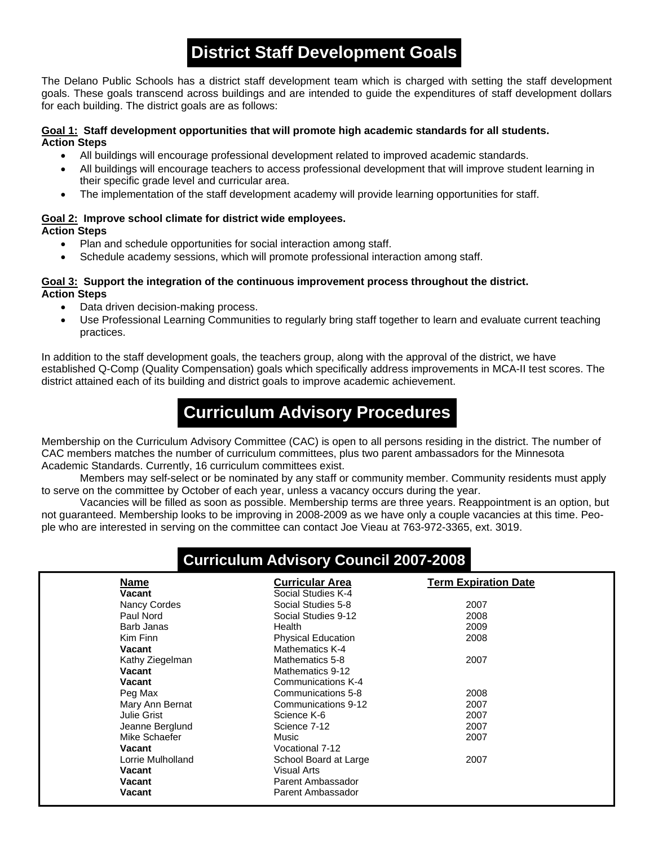### **District Staff Development Goals**

The Delano Public Schools has a district staff development team which is charged with setting the staff development goals. These goals transcend across buildings and are intended to guide the expenditures of staff development dollars for each building. The district goals are as follows:

#### **Goal 1: Staff development opportunities that will promote high academic standards for all students. Action Steps**

- All buildings will encourage professional development related to improved academic standards.
- All buildings will encourage teachers to access professional development that will improve student learning in their specific grade level and curricular area.
- The implementation of the staff development academy will provide learning opportunities for staff.

#### **Goal 2: Improve school climate for district wide employees. Action Steps**

- Plan and schedule opportunities for social interaction among staff.
- Schedule academy sessions, which will promote professional interaction among staff.

#### **Goal 3: Support the integration of the continuous improvement process throughout the district. Action Steps**

- Data driven decision-making process.
- Use Professional Learning Communities to regularly bring staff together to learn and evaluate current teaching practices.

In addition to the staff development goals, the teachers group, along with the approval of the district, we have established Q-Comp (Quality Compensation) goals which specifically address improvements in MCA-II test scores. The district attained each of its building and district goals to improve academic achievement.

### **Curriculum Advisory Procedures**

Membership on the Curriculum Advisory Committee (CAC) is open to all persons residing in the district. The number of CAC members matches the number of curriculum committees, plus two parent ambassadors for the Minnesota Academic Standards. Currently, 16 curriculum committees exist.

 Members may self-select or be nominated by any staff or community member. Community residents must apply to serve on the committee by October of each year, unless a vacancy occurs during the year.

 Vacancies will be filled as soon as possible. Membership terms are three years. Reappointment is an option, but not guaranteed. Membership looks to be improving in 2008-2009 as we have only a couple vacancies at this time. People who are interested in serving on the committee can contact Joe Vieau at 763-972-3365, ext. 3019.

#### **Curriculum Advisory Council 2007-2008**

| <b>Name</b>       | <b>Curricular Area</b>    | <b>Term Expiration Date</b> |
|-------------------|---------------------------|-----------------------------|
| Vacant            | Social Studies K-4        |                             |
| Nancy Cordes      | Social Studies 5-8        | 2007                        |
| Paul Nord         | Social Studies 9-12       | 2008                        |
| Barb Janas        | Health                    | 2009                        |
| Kim Finn          | <b>Physical Education</b> | 2008                        |
| Vacant            | Mathematics K-4           |                             |
| Kathy Ziegelman   | Mathematics 5-8           | 2007                        |
| Vacant            | Mathematics 9-12          |                             |
| Vacant            | Communications K-4        |                             |
| Peg Max           | Communications 5-8        | 2008                        |
| Mary Ann Bernat   | Communications 9-12       | 2007                        |
| Julie Grist       | Science K-6               | 2007                        |
| Jeanne Berglund   | Science 7-12              | 2007                        |
| Mike Schaefer     | Music                     | 2007                        |
| Vacant            | Vocational 7-12           |                             |
| Lorrie Mulholland | School Board at Large     | 2007                        |
| Vacant            | Visual Arts               |                             |
| Vacant            | Parent Ambassador         |                             |
| <b>Vacant</b>     | Parent Ambassador         |                             |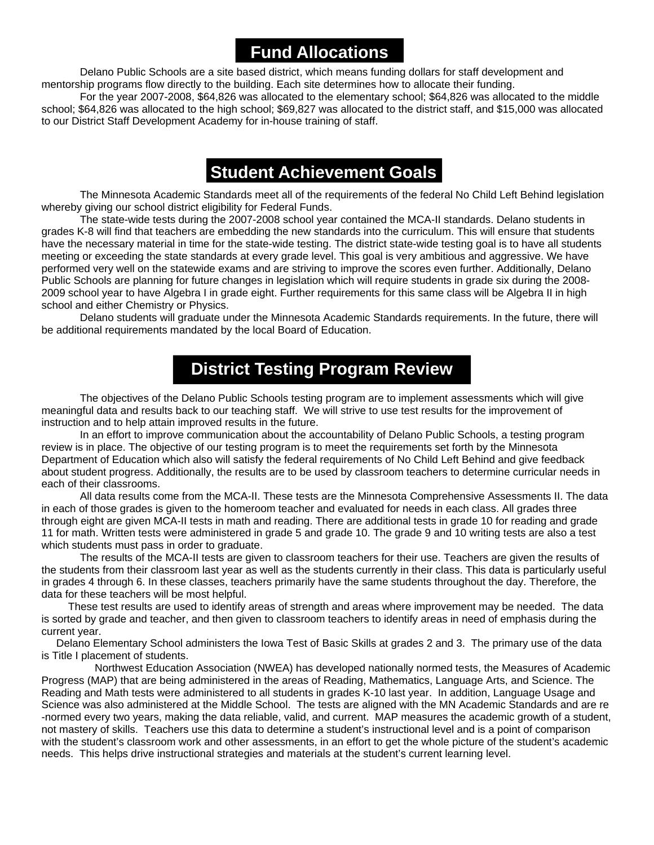#### **Fund Allocations**

 Delano Public Schools are a site based district, which means funding dollars for staff development and mentorship programs flow directly to the building. Each site determines how to allocate their funding.

 For the year 2007-2008, \$64,826 was allocated to the elementary school; \$64,826 was allocated to the middle school; \$64,826 was allocated to the high school; \$69,827 was allocated to the district staff, and \$15,000 was allocated to our District Staff Development Academy for in-house training of staff.

### **Student Achievement Goals**

The Minnesota Academic Standards meet all of the requirements of the federal No Child Left Behind legislation whereby giving our school district eligibility for Federal Funds.

 The state-wide tests during the 2007-2008 school year contained the MCA-II standards. Delano students in grades K-8 will find that teachers are embedding the new standards into the curriculum. This will ensure that students have the necessary material in time for the state-wide testing. The district state-wide testing goal is to have all students meeting or exceeding the state standards at every grade level. This goal is very ambitious and aggressive. We have performed very well on the statewide exams and are striving to improve the scores even further. Additionally, Delano Public Schools are planning for future changes in legislation which will require students in grade six during the 2008- 2009 school year to have Algebra I in grade eight. Further requirements for this same class will be Algebra II in high school and either Chemistry or Physics.

 Delano students will graduate under the Minnesota Academic Standards requirements. In the future, there will be additional requirements mandated by the local Board of Education.

#### **District Testing Program Review**

 The objectives of the Delano Public Schools testing program are to implement assessments which will give meaningful data and results back to our teaching staff. We will strive to use test results for the improvement of instruction and to help attain improved results in the future.

 In an effort to improve communication about the accountability of Delano Public Schools, a testing program review is in place. The objective of our testing program is to meet the requirements set forth by the Minnesota Department of Education which also will satisfy the federal requirements of No Child Left Behind and give feedback about student progress. Additionally, the results are to be used by classroom teachers to determine curricular needs in each of their classrooms.

All data results come from the MCA-II. These tests are the Minnesota Comprehensive Assessments II. The data in each of those grades is given to the homeroom teacher and evaluated for needs in each class. All grades three through eight are given MCA-II tests in math and reading. There are additional tests in grade 10 for reading and grade 11 for math. Written tests were administered in grade 5 and grade 10. The grade 9 and 10 writing tests are also a test which students must pass in order to graduate.

The results of the MCA-II tests are given to classroom teachers for their use. Teachers are given the results of the students from their classroom last year as well as the students currently in their class. This data is particularly useful in grades 4 through 6. In these classes, teachers primarily have the same students throughout the day. Therefore, the data for these teachers will be most helpful.

 These test results are used to identify areas of strength and areas where improvement may be needed. The data is sorted by grade and teacher, and then given to classroom teachers to identify areas in need of emphasis during the current year.

 Delano Elementary School administers the Iowa Test of Basic Skills at grades 2 and 3. The primary use of the data is Title I placement of students.

 Northwest Education Association (NWEA) has developed nationally normed tests, the Measures of Academic Progress (MAP) that are being administered in the areas of Reading, Mathematics, Language Arts, and Science. The Reading and Math tests were administered to all students in grades K-10 last year. In addition, Language Usage and Science was also administered at the Middle School. The tests are aligned with the MN Academic Standards and are re -normed every two years, making the data reliable, valid, and current. MAP measures the academic growth of a student, not mastery of skills. Teachers use this data to determine a student's instructional level and is a point of comparison with the student's classroom work and other assessments, in an effort to get the whole picture of the student's academic needs. This helps drive instructional strategies and materials at the student's current learning level.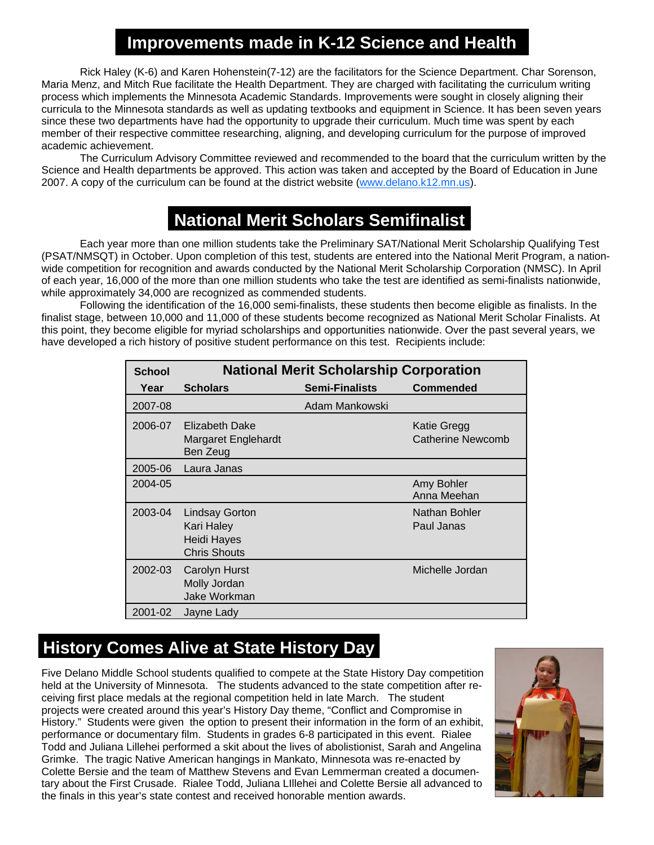#### **Improvements made in K-12 Science and Health**

Rick Haley (K-6) and Karen Hohenstein(7-12) are the facilitators for the Science Department. Char Sorenson, Maria Menz, and Mitch Rue facilitate the Health Department. They are charged with facilitating the curriculum writing process which implements the Minnesota Academic Standards. Improvements were sought in closely aligning their curricula to the Minnesota standards as well as updating textbooks and equipment in Science. It has been seven years since these two departments have had the opportunity to upgrade their curriculum. Much time was spent by each member of their respective committee researching, aligning, and developing curriculum for the purpose of improved academic achievement.

 The Curriculum Advisory Committee reviewed and recommended to the board that the curriculum written by the Science and Health departments be approved. This action was taken and accepted by the Board of Education in June 2007. A copy of the curriculum can be found at the district website (www.delano.k12.mn.us).

### **National Merit Scholars Semifinalist**

 Each year more than one million students take the Preliminary SAT/National Merit Scholarship Qualifying Test (PSAT/NMSQT) in October. Upon completion of this test, students are entered into the National Merit Program, a nationwide competition for recognition and awards conducted by the National Merit Scholarship Corporation (NMSC). In April of each year, 16,000 of the more than one million students who take the test are identified as semi-finalists nationwide, while approximately 34,000 are recognized as commended students.

 Following the identification of the 16,000 semi-finalists, these students then become eligible as finalists. In the finalist stage, between 10,000 and 11,000 of these students become recognized as National Merit Scholar Finalists. At this point, they become eligible for myriad scholarships and opportunities nationwide. Over the past several years, we have developed a rich history of positive student performance on this test. Recipients include:

| <b>School</b> | <b>National Merit Scholarship Corporation</b>                             |                       |                                                |  |  |  |  |  |
|---------------|---------------------------------------------------------------------------|-----------------------|------------------------------------------------|--|--|--|--|--|
| Year          | <b>Scholars</b>                                                           | <b>Semi-Finalists</b> | Commended                                      |  |  |  |  |  |
| 2007-08       |                                                                           | Adam Mankowski        |                                                |  |  |  |  |  |
| 2006-07       | <b>Elizabeth Dake</b><br><b>Margaret Englehardt</b><br>Ben Zeug           |                       | <b>Katie Gregg</b><br><b>Catherine Newcomb</b> |  |  |  |  |  |
| 2005-06       | Laura Janas                                                               |                       |                                                |  |  |  |  |  |
| 2004-05       |                                                                           |                       | Amy Bohler<br>Anna Meehan                      |  |  |  |  |  |
| 2003-04       | <b>Lindsay Gorton</b><br>Kari Haley<br>Heidi Hayes<br><b>Chris Shouts</b> |                       | Nathan Bohler<br>Paul Janas                    |  |  |  |  |  |
| 2002-03       | Carolyn Hurst<br>Molly Jordan<br>Jake Workman                             |                       | Michelle Jordan                                |  |  |  |  |  |
| 2001-02       | Jayne Lady                                                                |                       |                                                |  |  |  |  |  |

### **History Comes Alive at State History Day**

Five Delano Middle School students qualified to compete at the State History Day competition held at the University of Minnesota. The students advanced to the state competition after receiving first place medals at the regional competition held in late March. The student projects were created around this year's History Day theme, "Conflict and Compromise in History." Students were given the option to present their information in the form of an exhibit, performance or documentary film. Students in grades 6-8 participated in this event. Rialee Todd and Juliana Lillehei performed a skit about the lives of abolistionist, Sarah and Angelina Grimke. The tragic Native American hangings in Mankato, Minnesota was re-enacted by Colette Bersie and the team of Matthew Stevens and Evan Lemmerman created a documentary about the First Crusade. Rialee Todd, Juliana LIllehei and Colette Bersie all advanced to the finals in this year's state contest and received honorable mention awards.

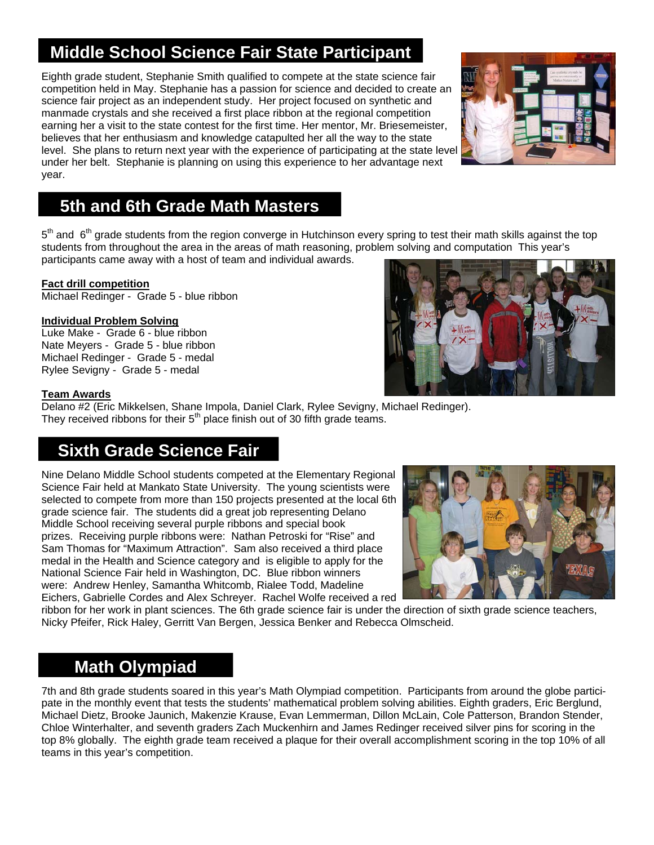## **Middle School Science Fair State Participant**

Eighth grade student, Stephanie Smith qualified to compete at the state science fair competition held in May. Stephanie has a passion for science and decided to create an science fair project as an independent study. Her project focused on synthetic and manmade crystals and she received a first place ribbon at the regional competition earning her a visit to the state contest for the first time. Her mentor, Mr. Briesemeister, believes that her enthusiasm and knowledge catapulted her all the way to the state level. She plans to return next year with the experience of participating at the state level under her belt. Stephanie is planning on using this experience to her advantage next year.

### **5th and 6th Grade Math Masters**

5<sup>th</sup> and 6<sup>th</sup> grade students from the region converge in Hutchinson every spring to test their math skills against the top students from throughout the area in the areas of math reasoning, problem solving and computation This year's participants came away with a host of team and individual awards.

#### **Fact drill competition**

Michael Redinger - Grade 5 - blue ribbon

#### **Individual Problem Solving**

Luke Make - Grade 6 - blue ribbon Nate Meyers - Grade 5 - blue ribbon Michael Redinger - Grade 5 - medal Rylee Sevigny - Grade 5 - medal



#### **Team Awards**

Delano #2 (Eric Mikkelsen, Shane Impola, Daniel Clark, Rylee Sevigny, Michael Redinger). They received ribbons for their  $5<sup>th</sup>$  place finish out of 30 fifth grade teams.

#### **Sixth Grade Science Fair**

Nine Delano Middle School students competed at the Elementary Regional Science Fair held at Mankato State University. The young scientists were selected to compete from more than 150 projects presented at the local 6th grade science fair. The students did a great job representing Delano Middle School receiving several purple ribbons and special book prizes. Receiving purple ribbons were: Nathan Petroski for "Rise" and Sam Thomas for "Maximum Attraction". Sam also received a third place medal in the Health and Science category and is eligible to apply for the National Science Fair held in Washington, DC. Blue ribbon winners were: Andrew Henley, Samantha Whitcomb, Rialee Todd, Madeline Eichers, Gabrielle Cordes and Alex Schreyer. Rachel Wolfe received a red



ribbon for her work in plant sciences. The 6th grade science fair is under the direction of sixth grade science teachers, Nicky Pfeifer, Rick Haley, Gerritt Van Bergen, Jessica Benker and Rebecca Olmscheid.

#### **Math Olympiad**

7th and 8th grade students soared in this year's Math Olympiad competition. Participants from around the globe participate in the monthly event that tests the students' mathematical problem solving abilities. Eighth graders, Eric Berglund, Michael Dietz, Brooke Jaunich, Makenzie Krause, Evan Lemmerman, Dillon McLain, Cole Patterson, Brandon Stender, Chloe Winterhalter, and seventh graders Zach Muckenhirn and James Redinger received silver pins for scoring in the top 8% globally. The eighth grade team received a plaque for their overall accomplishment scoring in the top 10% of all teams in this year's competition.

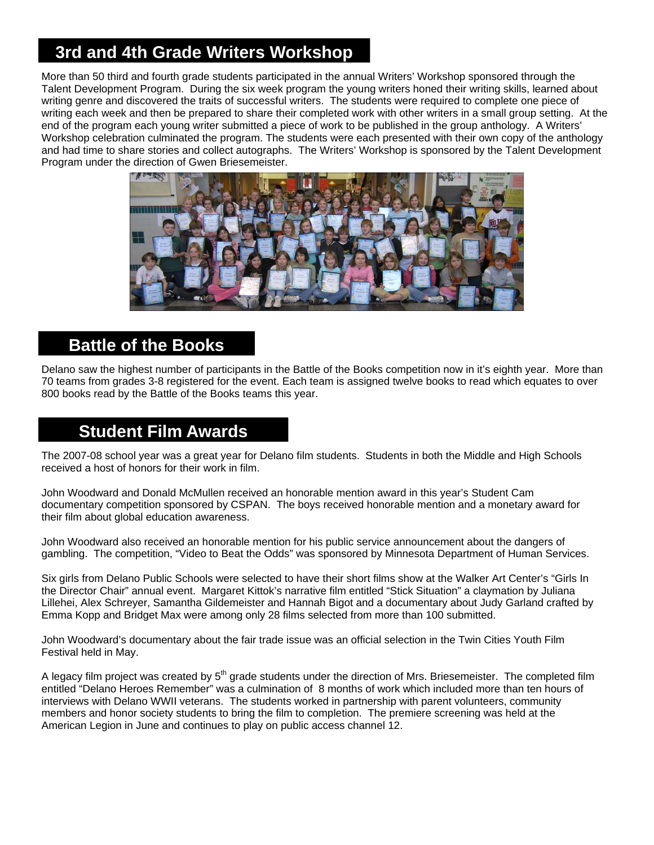### **3rd and 4th Grade Writers Workshop**

More than 50 third and fourth grade students participated in the annual Writers' Workshop sponsored through the Talent Development Program. During the six week program the young writers honed their writing skills, learned about writing genre and discovered the traits of successful writers. The students were required to complete one piece of writing each week and then be prepared to share their completed work with other writers in a small group setting. At the end of the program each young writer submitted a piece of work to be published in the group anthology. A Writers' Workshop celebration culminated the program. The students were each presented with their own copy of the anthology and had time to share stories and collect autographs. The Writers' Workshop is sponsored by the Talent Development Program under the direction of Gwen Briesemeister.



#### **Battle of the Books**

Delano saw the highest number of participants in the Battle of the Books competition now in it's eighth year. More than 70 teams from grades 3-8 registered for the event. Each team is assigned twelve books to read which equates to over 800 books read by the Battle of the Books teams this year.

#### **Student Film Awards**

The 2007-08 school year was a great year for Delano film students. Students in both the Middle and High Schools received a host of honors for their work in film.

John Woodward and Donald McMullen received an honorable mention award in this year's Student Cam documentary competition sponsored by CSPAN. The boys received honorable mention and a monetary award for their film about global education awareness.

John Woodward also received an honorable mention for his public service announcement about the dangers of gambling. The competition, "Video to Beat the Odds" was sponsored by Minnesota Department of Human Services.

Six girls from Delano Public Schools were selected to have their short films show at the Walker Art Center's "Girls In the Director Chair" annual event. Margaret Kittok's narrative film entitled "Stick Situation" a claymation by Juliana Lillehei, Alex Schreyer, Samantha Gildemeister and Hannah Bigot and a documentary about Judy Garland crafted by Emma Kopp and Bridget Max were among only 28 films selected from more than 100 submitted.

John Woodward's documentary about the fair trade issue was an official selection in the Twin Cities Youth Film Festival held in May.

A legacy film project was created by 5<sup>th</sup> grade students under the direction of Mrs. Briesemeister. The completed film entitled "Delano Heroes Remember" was a culmination of 8 months of work which included more than ten hours of interviews with Delano WWII veterans. The students worked in partnership with parent volunteers, community members and honor society students to bring the film to completion. The premiere screening was held at the American Legion in June and continues to play on public access channel 12.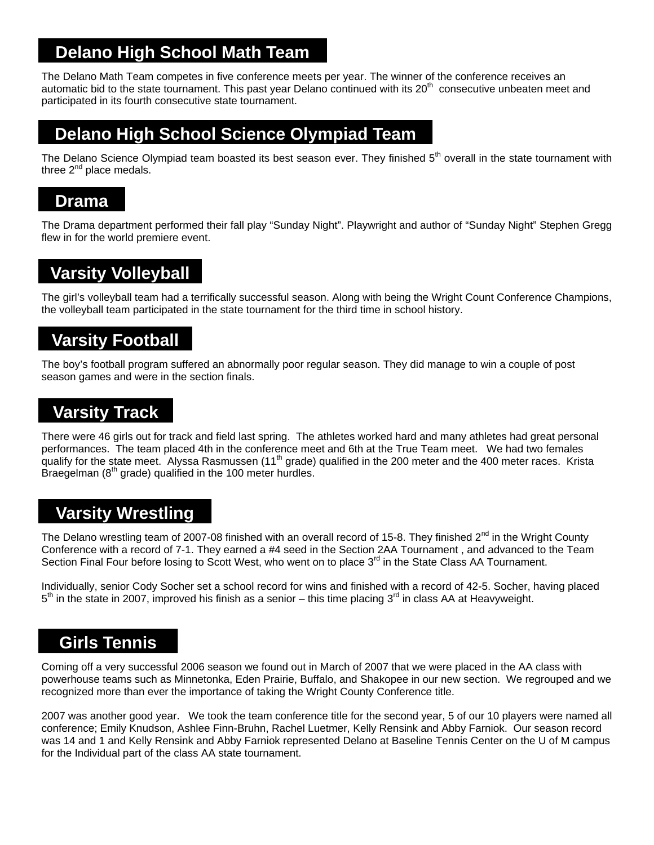### **Delano High School Math Team**

The Delano Math Team competes in five conference meets per year. The winner of the conference receives an automatic bid to the state tournament. This past year Delano continued with its 20<sup>th</sup> consecutive unbeaten meet and participated in its fourth consecutive state tournament.

#### **Delano High School Science Olympiad Team**

The Delano Science Olympiad team boasted its best season ever. They finished 5<sup>th</sup> overall in the state tournament with three  $2^{nd}$  place medals.

#### **Drama**

The Drama department performed their fall play "Sunday Night". Playwright and author of "Sunday Night" Stephen Gregg flew in for the world premiere event.

### **Varsity Volleyball**

The girl's volleyball team had a terrifically successful season. Along with being the Wright Count Conference Champions, the volleyball team participated in the state tournament for the third time in school history.

#### **Varsity Football**

The boy's football program suffered an abnormally poor regular season. They did manage to win a couple of post season games and were in the section finals.

#### **Varsity Track**

There were 46 girls out for track and field last spring. The athletes worked hard and many athletes had great personal performances. The team placed 4th in the conference meet and 6th at the True Team meet. We had two females qualify for the state meet. Alyssa Rasmussen (11<sup>th</sup> grade) qualified in the 200 meter and the 400 meter races. Krista Braegelman ( $8<sup>th</sup>$  grade) qualified in the 100 meter hurdles.

### **Varsity Wrestling**

The Delano wrestling team of 2007-08 finished with an overall record of 15-8. They finished 2<sup>nd</sup> in the Wright County Conference with a record of 7-1. They earned a #4 seed in the Section 2AA Tournament , and advanced to the Team Section Final Four before losing to Scott West, who went on to place 3<sup>rd</sup> in the State Class AA Tournament.

Individually, senior Cody Socher set a school record for wins and finished with a record of 42-5. Socher, having placed  $5<sup>th</sup>$  in the state in 2007, improved his finish as a senior – this time placing  $3<sup>rd</sup>$  in class AA at Heavyweight.

#### **Girls Tennis**

Coming off a very successful 2006 season we found out in March of 2007 that we were placed in the AA class with powerhouse teams such as Minnetonka, Eden Prairie, Buffalo, and Shakopee in our new section. We regrouped and we recognized more than ever the importance of taking the Wright County Conference title.

2007 was another good year. We took the team conference title for the second year, 5 of our 10 players were named all conference; Emily Knudson, Ashlee Finn-Bruhn, Rachel Luetmer, Kelly Rensink and Abby Farniok. Our season record was 14 and 1 and Kelly Rensink and Abby Farniok represented Delano at Baseline Tennis Center on the U of M campus for the Individual part of the class AA state tournament.